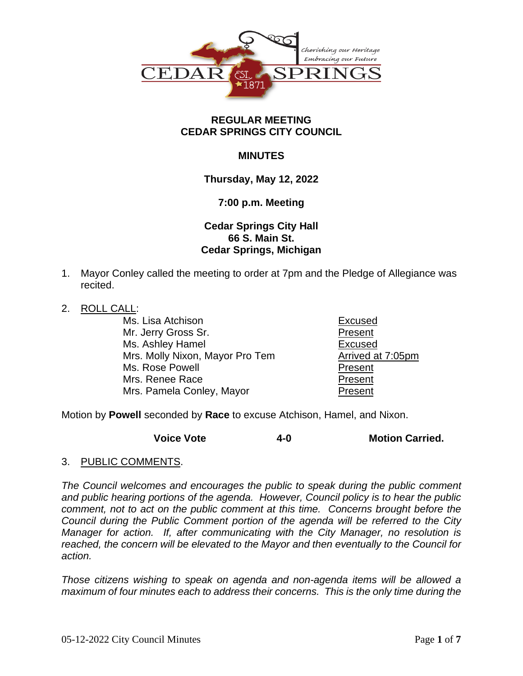

### **REGULAR MEETING CEDAR SPRINGS CITY COUNCIL**

## **MINUTES**

## **Thursday, May 12, 2022**

### **7:00 p.m. Meeting**

# **Cedar Springs City Hall 66 S. Main St. Cedar Springs, Michigan**

- 1. Mayor Conley called the meeting to order at 7pm and the Pledge of Allegiance was recited.
- 2. ROLL CALL:

Ms. Lisa Atchison **Excused** Mr. Jerry Gross Sr. **Present** Ms. Ashley Hamel **Excused** Mrs. Molly Nixon, Mayor Pro Tem **Arrived at 7:05pm** Ms. Rose Powell **Present** Mrs. Renee Race **Present** Mrs. Pamela Conley, Mayor **Present** 

Motion by **Powell** seconded by **Race** to excuse Atchison, Hamel, and Nixon.

**Voice Vote 4-0 Motion Carried.**

3. PUBLIC COMMENTS.

*The Council welcomes and encourages the public to speak during the public comment and public hearing portions of the agenda. However, Council policy is to hear the public comment, not to act on the public comment at this time. Concerns brought before the Council during the Public Comment portion of the agenda will be referred to the City Manager for action. If, after communicating with the City Manager, no resolution is reached, the concern will be elevated to the Mayor and then eventually to the Council for action.*

*Those citizens wishing to speak on agenda and non-agenda items will be allowed a maximum of four minutes each to address their concerns. This is the only time during the*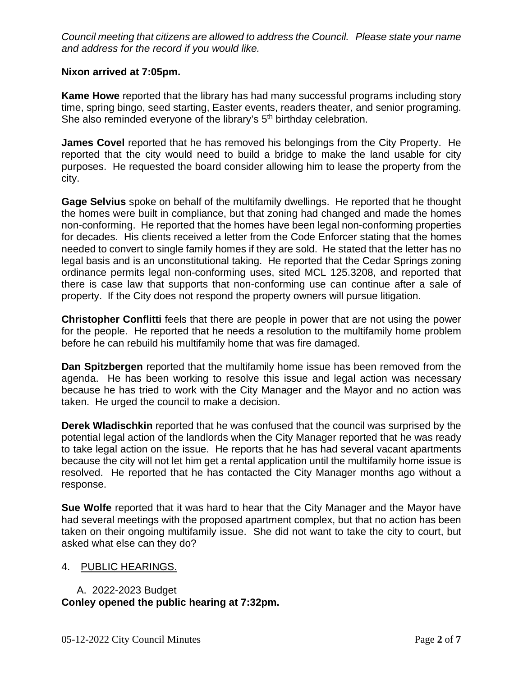*Council meeting that citizens are allowed to address the Council. Please state your name and address for the record if you would like.*

### **Nixon arrived at 7:05pm.**

**Kame Howe** reported that the library has had many successful programs including story time, spring bingo, seed starting, Easter events, readers theater, and senior programing. She also reminded everyone of the library's 5<sup>th</sup> birthday celebration.

**James Covel** reported that he has removed his belongings from the City Property. He reported that the city would need to build a bridge to make the land usable for city purposes. He requested the board consider allowing him to lease the property from the city.

**Gage Selvius** spoke on behalf of the multifamily dwellings. He reported that he thought the homes were built in compliance, but that zoning had changed and made the homes non-conforming. He reported that the homes have been legal non-conforming properties for decades. His clients received a letter from the Code Enforcer stating that the homes needed to convert to single family homes if they are sold. He stated that the letter has no legal basis and is an unconstitutional taking. He reported that the Cedar Springs zoning ordinance permits legal non-conforming uses, sited MCL 125.3208, and reported that there is case law that supports that non-conforming use can continue after a sale of property. If the City does not respond the property owners will pursue litigation.

**Christopher Conflitti** feels that there are people in power that are not using the power for the people. He reported that he needs a resolution to the multifamily home problem before he can rebuild his multifamily home that was fire damaged.

**Dan Spitzbergen** reported that the multifamily home issue has been removed from the agenda. He has been working to resolve this issue and legal action was necessary because he has tried to work with the City Manager and the Mayor and no action was taken. He urged the council to make a decision.

**Derek Wladischkin** reported that he was confused that the council was surprised by the potential legal action of the landlords when the City Manager reported that he was ready to take legal action on the issue. He reports that he has had several vacant apartments because the city will not let him get a rental application until the multifamily home issue is resolved. He reported that he has contacted the City Manager months ago without a response.

**Sue Wolfe** reported that it was hard to hear that the City Manager and the Mayor have had several meetings with the proposed apartment complex, but that no action has been taken on their ongoing multifamily issue. She did not want to take the city to court, but asked what else can they do?

### 4. PUBLIC HEARINGS.

A. 2022-2023 Budget **Conley opened the public hearing at 7:32pm.**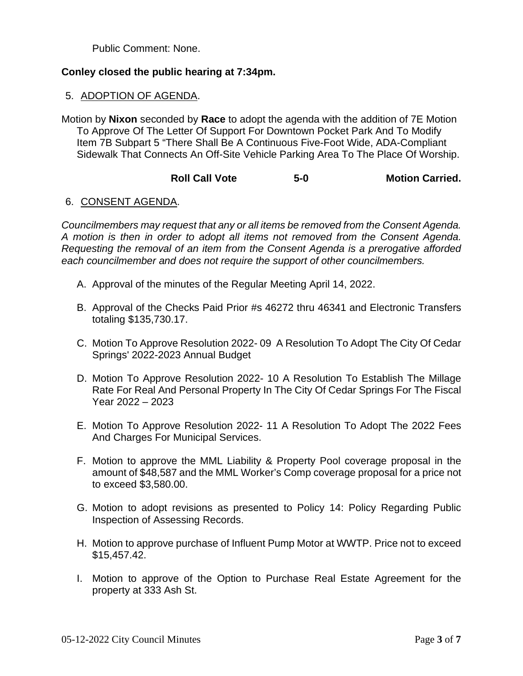Public Comment: None.

## **Conley closed the public hearing at 7:34pm.**

### 5. ADOPTION OF AGENDA.

Motion by **Nixon** seconded by **Race** to adopt the agenda with the addition of 7E Motion To Approve Of The Letter Of Support For Downtown Pocket Park And To Modify Item 7B Subpart 5 "There Shall Be A Continuous Five-Foot Wide, ADA-Compliant Sidewalk That Connects An Off-Site Vehicle Parking Area To The Place Of Worship.

## **Roll Call Vote 5-0 Motion Carried.**

## 6. CONSENT AGENDA.

*Councilmembers may request that any or all items be removed from the Consent Agenda. A motion is then in order to adopt all items not removed from the Consent Agenda. Requesting the removal of an item from the Consent Agenda is a prerogative afforded each councilmember and does not require the support of other councilmembers.*

- A. Approval of the minutes of the Regular Meeting April 14, 2022.
- B. Approval of the Checks Paid Prior #s 46272 thru 46341 and Electronic Transfers totaling \$135,730.17.
- C. Motion To Approve Resolution 2022- 09 A Resolution To Adopt The City Of Cedar Springs' 2022-2023 Annual Budget
- D. Motion To Approve Resolution 2022- 10 A Resolution To Establish The Millage Rate For Real And Personal Property In The City Of Cedar Springs For The Fiscal Year 2022 – 2023
- E. Motion To Approve Resolution 2022- 11 A Resolution To Adopt The 2022 Fees And Charges For Municipal Services.
- F. Motion to approve the MML Liability & Property Pool coverage proposal in the amount of \$48,587 and the MML Worker's Comp coverage proposal for a price not to exceed \$3,580.00.
- G. Motion to adopt revisions as presented to Policy 14: Policy Regarding Public Inspection of Assessing Records.
- H. Motion to approve purchase of Influent Pump Motor at WWTP. Price not to exceed \$15,457.42.
- I. Motion to approve of the Option to Purchase Real Estate Agreement for the property at 333 Ash St.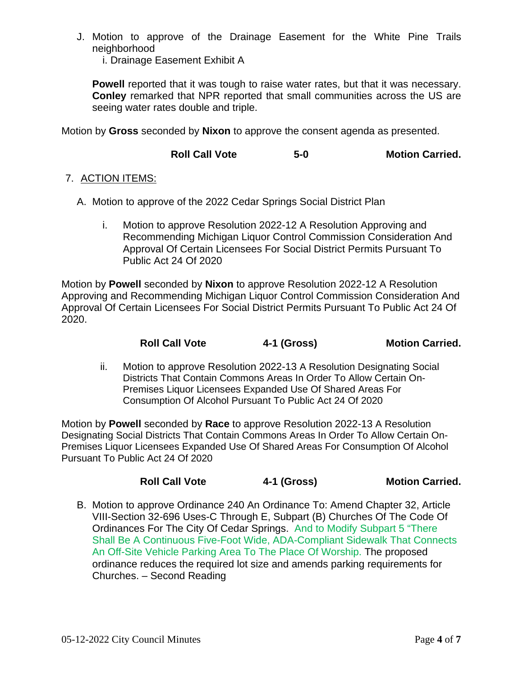J. Motion to approve of the Drainage Easement for the White Pine Trails neighborhood

i. Drainage Easement Exhibit A

Powell reported that it was tough to raise water rates, but that it was necessary. **Conley** remarked that NPR reported that small communities across the US are seeing water rates double and triple.

Motion by **Gross** seconded by **Nixon** to approve the consent agenda as presented.

**Roll Call Vote 5-0 Motion Carried.**

#### 7. ACTION ITEMS:

- A. Motion to approve of the 2022 Cedar Springs Social District Plan
	- i. Motion to approve Resolution 2022-12 A Resolution Approving and Recommending Michigan Liquor Control Commission Consideration And Approval Of Certain Licensees For Social District Permits Pursuant To Public Act 24 Of 2020

Motion by **Powell** seconded by **Nixon** to approve Resolution 2022-12 A Resolution Approving and Recommending Michigan Liquor Control Commission Consideration And Approval Of Certain Licensees For Social District Permits Pursuant To Public Act 24 Of 2020.

| <b>Roll Call Vote</b> | 4-1 (Gross) | <b>Motion Carried.</b> |
|-----------------------|-------------|------------------------|
|-----------------------|-------------|------------------------|

ii. Motion to approve Resolution 2022-13 A Resolution Designating Social Districts That Contain Commons Areas In Order To Allow Certain On-Premises Liquor Licensees Expanded Use Of Shared Areas For Consumption Of Alcohol Pursuant To Public Act 24 Of 2020

Motion by **Powell** seconded by **Race** to approve Resolution 2022-13 A Resolution Designating Social Districts That Contain Commons Areas In Order To Allow Certain On-Premises Liquor Licensees Expanded Use Of Shared Areas For Consumption Of Alcohol Pursuant To Public Act 24 Of 2020

## **Roll Call Vote 4-1 (Gross) Motion Carried.**

B. Motion to approve Ordinance 240 An Ordinance To: Amend Chapter 32, Article VIII-Section 32-696 Uses-C Through E, Subpart (B) Churches Of The Code Of Ordinances For The City Of Cedar Springs. And to Modify Subpart 5 "There Shall Be A Continuous Five-Foot Wide, ADA-Compliant Sidewalk That Connects An Off-Site Vehicle Parking Area To The Place Of Worship. The proposed ordinance reduces the required lot size and amends parking requirements for Churches. – Second Reading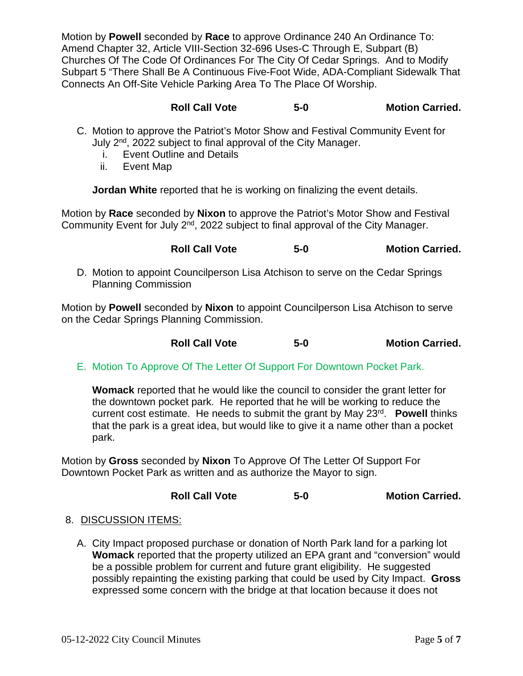Motion by **Powell** seconded by **Race** to approve Ordinance 240 An Ordinance To: Amend Chapter 32, Article VIII-Section 32-696 Uses-C Through E, Subpart (B) Churches Of The Code Of Ordinances For The City Of Cedar Springs. And to Modify Subpart 5 "There Shall Be A Continuous Five-Foot Wide, ADA-Compliant Sidewalk That Connects An Off-Site Vehicle Parking Area To The Place Of Worship.

| <b>Roll Call Vote</b> | $5-0$ | <b>Motion Carried.</b> |
|-----------------------|-------|------------------------|
|                       |       |                        |

- C. Motion to approve the Patriot's Motor Show and Festival Community Event for July 2<sup>nd</sup>, 2022 subject to final approval of the City Manager.
	- i. Event Outline and Details
	- ii. Event Map

**Jordan White** reported that he is working on finalizing the event details.

Motion by **Race** seconded by **Nixon** to approve the Patriot's Motor Show and Festival Community Event for July 2<sup>nd</sup>, 2022 subject to final approval of the City Manager.

D. Motion to appoint Councilperson Lisa Atchison to serve on the Cedar Springs Planning Commission

Motion by **Powell** seconded by **Nixon** to appoint Councilperson Lisa Atchison to serve on the Cedar Springs Planning Commission.

| <b>Roll Call Vote</b><br>$5-0$ | <b>Motion Carried.</b> |
|--------------------------------|------------------------|
|--------------------------------|------------------------|

E. Motion To Approve Of The Letter Of Support For Downtown Pocket Park.

**Womack** reported that he would like the council to consider the grant letter for the downtown pocket park. He reported that he will be working to reduce the current cost estimate. He needs to submit the grant by May 23<sup>rd</sup>. **Powell** thinks that the park is a great idea, but would like to give it a name other than a pocket park.

Motion by **Gross** seconded by **Nixon** To Approve Of The Letter Of Support For Downtown Pocket Park as written and as authorize the Mayor to sign.

# **Roll Call Vote 5-0 Motion Carried.**

### 8. DISCUSSION ITEMS:

A. City Impact proposed purchase or donation of North Park land for a parking lot **Womack** reported that the property utilized an EPA grant and "conversion" would be a possible problem for current and future grant eligibility. He suggested possibly repainting the existing parking that could be used by City Impact. **Gross** expressed some concern with the bridge at that location because it does not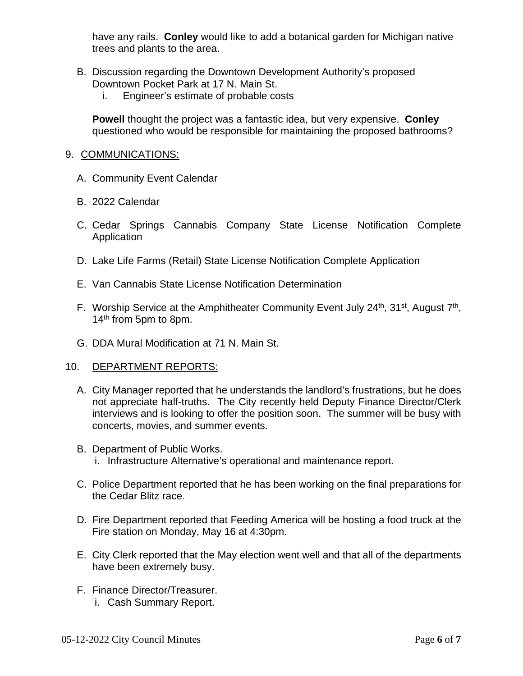have any rails. **Conley** would like to add a botanical garden for Michigan native trees and plants to the area.

- B. Discussion regarding the Downtown Development Authority's proposed Downtown Pocket Park at 17 N. Main St.
	- i. Engineer's estimate of probable costs

**Powell** thought the project was a fantastic idea, but very expensive. **Conley** questioned who would be responsible for maintaining the proposed bathrooms?

#### 9. COMMUNICATIONS:

- A. Community Event Calendar
- B. 2022 Calendar
- C. Cedar Springs Cannabis Company State License Notification Complete Application
- D. Lake Life Farms (Retail) State License Notification Complete Application
- E. Van Cannabis State License Notification Determination
- F. Worship Service at the Amphitheater Community Event July  $24<sup>th</sup>$ ,  $31<sup>st</sup>$ , August  $7<sup>th</sup>$ , 14<sup>th</sup> from 5pm to 8pm.
- G. DDA Mural Modification at 71 N. Main St.

### 10. DEPARTMENT REPORTS:

- A. City Manager reported that he understands the landlord's frustrations, but he does not appreciate half-truths. The City recently held Deputy Finance Director/Clerk interviews and is looking to offer the position soon. The summer will be busy with concerts, movies, and summer events.
- B. Department of Public Works. i. Infrastructure Alternative's operational and maintenance report.
- C. Police Department reported that he has been working on the final preparations for the Cedar Blitz race.
- D. Fire Department reported that Feeding America will be hosting a food truck at the Fire station on Monday, May 16 at 4:30pm.
- E. City Clerk reported that the May election went well and that all of the departments have been extremely busy.
- F. Finance Director/Treasurer. i. Cash Summary Report.